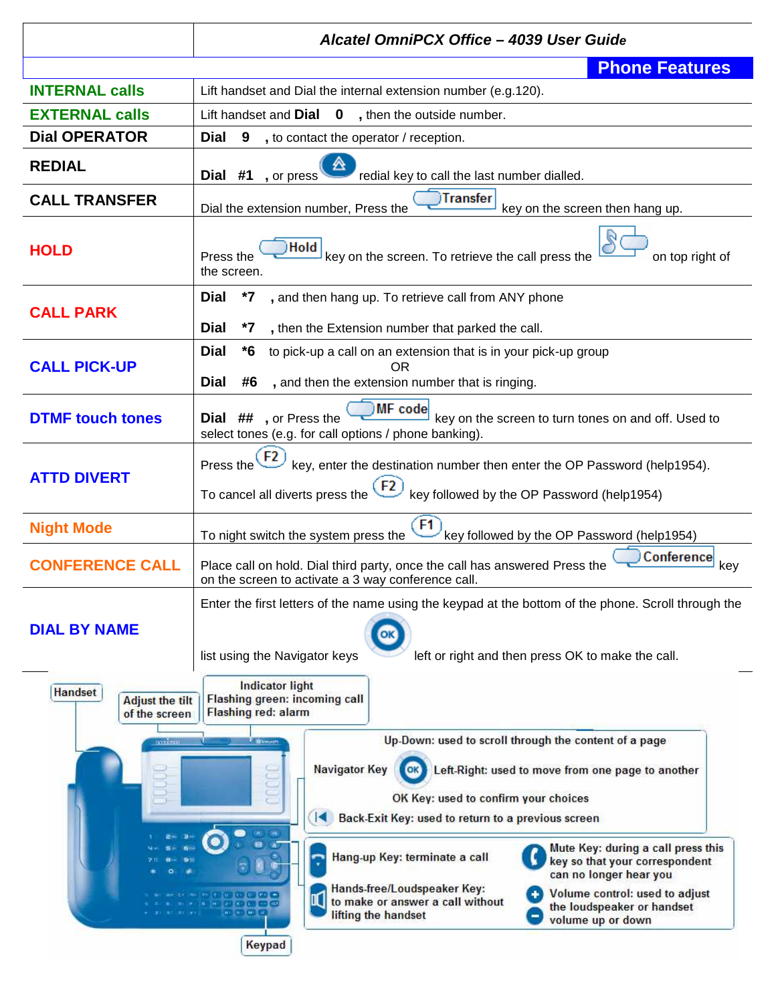|                                                           | Alcatel OmniPCX Office - 4039 User Guide                                                                                                                                                                                                                                                                                                                                                                                                                                                                                                                                                                                                                 |  |  |
|-----------------------------------------------------------|----------------------------------------------------------------------------------------------------------------------------------------------------------------------------------------------------------------------------------------------------------------------------------------------------------------------------------------------------------------------------------------------------------------------------------------------------------------------------------------------------------------------------------------------------------------------------------------------------------------------------------------------------------|--|--|
|                                                           | <b>Phone Features</b>                                                                                                                                                                                                                                                                                                                                                                                                                                                                                                                                                                                                                                    |  |  |
| <b>INTERNAL calls</b>                                     | Lift handset and Dial the internal extension number (e.g.120).                                                                                                                                                                                                                                                                                                                                                                                                                                                                                                                                                                                           |  |  |
| <b>EXTERNAL calls</b>                                     | Lift handset and $Dial \quad 0 \quad$ , then the outside number.                                                                                                                                                                                                                                                                                                                                                                                                                                                                                                                                                                                         |  |  |
| <b>Dial OPERATOR</b>                                      | <b>Dial</b><br>9<br>, to contact the operator / reception.                                                                                                                                                                                                                                                                                                                                                                                                                                                                                                                                                                                               |  |  |
| <b>REDIAL</b>                                             | Dial #1, or press<br>redial key to call the last number dialled.                                                                                                                                                                                                                                                                                                                                                                                                                                                                                                                                                                                         |  |  |
| <b>CALL TRANSFER</b>                                      | )Transfer<br>Dial the extension number, Press the<br>key on the screen then hang up.                                                                                                                                                                                                                                                                                                                                                                                                                                                                                                                                                                     |  |  |
| <b>HOLD</b>                                               | Hold<br>key on the screen. To retrieve the call press the<br>on top right of<br>Press the<br>the screen.                                                                                                                                                                                                                                                                                                                                                                                                                                                                                                                                                 |  |  |
| <b>CALL PARK</b>                                          | Dial<br>*7, and then hang up. To retrieve call from ANY phone                                                                                                                                                                                                                                                                                                                                                                                                                                                                                                                                                                                            |  |  |
|                                                           | Dial<br>*7<br>, then the Extension number that parked the call.                                                                                                                                                                                                                                                                                                                                                                                                                                                                                                                                                                                          |  |  |
| <b>CALL PICK-UP</b>                                       | <b>Dial</b><br>to pick-up a call on an extension that is in your pick-up group<br>*6<br><b>OR</b><br><b>Dial</b><br>#6<br>, and then the extension number that is ringing.                                                                                                                                                                                                                                                                                                                                                                                                                                                                               |  |  |
| <b>DTMF touch tones</b>                                   | MF code<br>key on the screen to turn tones on and off. Used to<br>Dial ##, or Press the<br>select tones (e.g. for call options / phone banking).                                                                                                                                                                                                                                                                                                                                                                                                                                                                                                         |  |  |
| <b>ATTD DIVERT</b>                                        | $F2$ key, enter the destination number then enter the OP Password (help1954).<br>Press the<br>To cancel all diverts press the $(F2)$<br>key followed by the OP Password (help1954)                                                                                                                                                                                                                                                                                                                                                                                                                                                                       |  |  |
| <b>Night Mode</b>                                         | F1<br>To night switch the system press the<br>key followed by the OP Password (help1954)                                                                                                                                                                                                                                                                                                                                                                                                                                                                                                                                                                 |  |  |
| <b>CONFERENCE CALL</b>                                    | Conference<br>Place call on hold. Dial third party, once the call has answered Press the<br>key<br>on the screen to activate a 3 way conference call.                                                                                                                                                                                                                                                                                                                                                                                                                                                                                                    |  |  |
| <b>DIAL BY NAME</b>                                       | Enter the first letters of the name using the keypad at the bottom of the phone. Scroll through the<br>OK<br>list using the Navigator keys<br>left or right and then press OK to make the call.                                                                                                                                                                                                                                                                                                                                                                                                                                                          |  |  |
| <b>Handset</b><br><b>Adjust the tilt</b><br>of the screen | <b>Indicator light</b><br>Flashing green: incoming call<br>Flashing red: alarm                                                                                                                                                                                                                                                                                                                                                                                                                                                                                                                                                                           |  |  |
| anino                                                     | Up-Down: used to scroll through the content of a page<br>l Stoum<br><b>Navigator Key</b><br>Left-Right: used to move from one page to another<br>OK Key: used to confirm your choices<br>Back-Exit Key: used to return to a previous screen<br>$\blacksquare$<br>Mute Key: during a call press this<br>Hang-up Key: terminate a call<br>key so that your correspondent<br>can no longer hear you<br>Hands-free/Loudspeaker Key:<br>Volume control: used to adjust<br>$V$ (a) $V$ (b) $V$ (a) $\rightarrow$<br>to make or answer a call without<br>H1 30 Ko (8) 50 KB<br>the loudspeaker or handset<br>$(0.1 - 0.1 - 0.01 - 0.01)$<br>lifting the handset |  |  |
| volume up or down<br>Keypad                               |                                                                                                                                                                                                                                                                                                                                                                                                                                                                                                                                                                                                                                                          |  |  |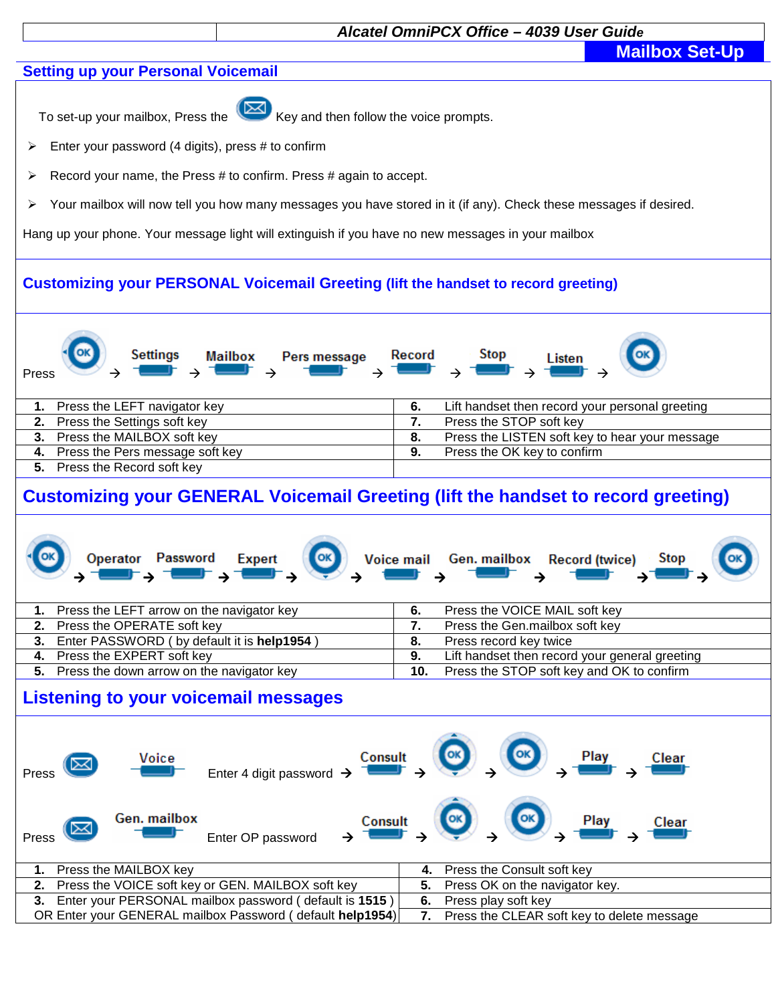## **Alcatel OmniPCX Office – 4039 User Guide**

**Mailbox Set-Up** 

### **Setting up your Personal Voicemail**



To set-up your mailbox, Press the  $\left(\frac{1}{100}\right)$  Key and then follow the voice prompts.

- $\triangleright$  Enter your password (4 digits), press # to confirm
- $\triangleright$  Record your name, the Press # to confirm. Press # again to accept.
- > Your mailbox will now tell you how many messages you have stored in it (if any). Check these messages if desired.

Hang up your phone. Your message light will extinguish if you have no new messages in your mailbox

# **Customizing your PERSONAL Voicemail Greeting (lift the handset to record greeting)**

| OK<br><b>Settings</b><br><b>Mailbox</b><br>Pers message<br>Press | $\circ$<br>Stop<br>Record<br>Listen<br>▏ <b>╮▜█▛▗▗▜█▛</b> ▗ |
|------------------------------------------------------------------|-------------------------------------------------------------|
| Press the LEFT navigator key                                     | Lift handset then record your personal greeting<br>6.       |
| 2. Press the Settings soft key                                   | Press the STOP soft key                                     |
| 3. Press the MAILBOX soft key                                    | Press the LISTEN soft key to hear your message<br>8.        |
| 4. Press the Pers message soft key                               | Press the OK key to confirm<br>9.                           |
| Press the Record soft key                                        |                                                             |

# **Customizing your GENERAL Voicemail Greeting (lift the handset to record greeting)**

|  | $\begin{array}{ccc} \begin{pmatrix} -\end{pmatrix} & \begin{pmatrix} 0 & \end{pmatrix} & \begin{pmatrix} 0 & \end{pmatrix} & \begin{pmatrix} 0 & \end{pmatrix} & \begin{pmatrix} 0 & \end{pmatrix} & \begin{pmatrix} 0 & \end{pmatrix} & \begin{pmatrix} 0 & \end{pmatrix} & \begin{pmatrix} 0 & \end{pmatrix} & \begin{pmatrix} 0 & \end{pmatrix} & \begin{pmatrix} 0 & \end{pmatrix} & \begin{pmatrix} 0 & \end{pmatrix} & \begin{pmatrix} 0 & \end{pmatrix} & \begin{pmatrix} 0 & \end{pmatrix} & \begin{pmatrix} $ |  |
|--|------------------------------------------------------------------------------------------------------------------------------------------------------------------------------------------------------------------------------------------------------------------------------------------------------------------------------------------------------------------------------------------------------------------------------------------------------------------------------------------------------------------------|--|
|--|------------------------------------------------------------------------------------------------------------------------------------------------------------------------------------------------------------------------------------------------------------------------------------------------------------------------------------------------------------------------------------------------------------------------------------------------------------------------------------------------------------------------|--|

| Press the LEFT arrow on the navigator key     |     | Press the VOICE MAIL soft key                  |
|-----------------------------------------------|-----|------------------------------------------------|
| 2. Press the OPERATE soft key                 |     | Press the Gen.mailbox soft key                 |
| 3. Enter PASSWORD (by default it is help1954) |     | Press record key twice                         |
| 4. Press the EXPERT soft key                  |     | Lift handset then record your general greeting |
| 5. Press the down arrow on the navigator key  | 10. | Press the STOP soft key and OK to confirm      |

## **Listening to your voicemail messages**

| <u>Voice</u><br>0⊠<br>Press                               | Enter 4 digit password $\rightarrow$ $\overline{$ Consult $\rightarrow$ $\overline{ }$ $\rightarrow$ $\overline{ }$ $\rightarrow$ $\overline{ }$ $\rightarrow$ $\overline{ }$ $\rightarrow$ $\overline{ }$ $\rightarrow$ $\overline{ }$ $\rightarrow$ $\overline{ }$ $\rightarrow$ $\overline{ }$ $\rightarrow$ $\overline{ }$ $\rightarrow$ $\overline{ }$ $\rightarrow$ $\overline{ }$ $\rightarrow$ $\overline{ }$ $\rightarrow$ $\overline{ }$ $\rightarrow$ $\overline$ |
|-----------------------------------------------------------|------------------------------------------------------------------------------------------------------------------------------------------------------------------------------------------------------------------------------------------------------------------------------------------------------------------------------------------------------------------------------------------------------------------------------------------------------------------------------|
| <b>Gen. mailbox</b><br>Enter OP password<br>(⊠<br>Press   | $\longleftrightarrow \xrightarrow{Const} \rightarrow \xrightarrow{CB} \xrightarrow{CB} \xrightarrow{Play} \rightarrow \xrightarrow{Clear}$                                                                                                                                                                                                                                                                                                                                   |
| 1. Press the MAILBOX key                                  | 4. Press the Consult soft key                                                                                                                                                                                                                                                                                                                                                                                                                                                |
| 2. Press the VOICE soft key or GEN. MAILBOX soft key      | Press OK on the navigator key.<br>5.                                                                                                                                                                                                                                                                                                                                                                                                                                         |
| 3. Enter your PERSONAL mailbox password (default is 1515) | 6.<br>Press play soft key                                                                                                                                                                                                                                                                                                                                                                                                                                                    |
| OR Enter your GENERAL mailbox Password (default help1954) | Press the CLEAR soft key to delete message                                                                                                                                                                                                                                                                                                                                                                                                                                   |